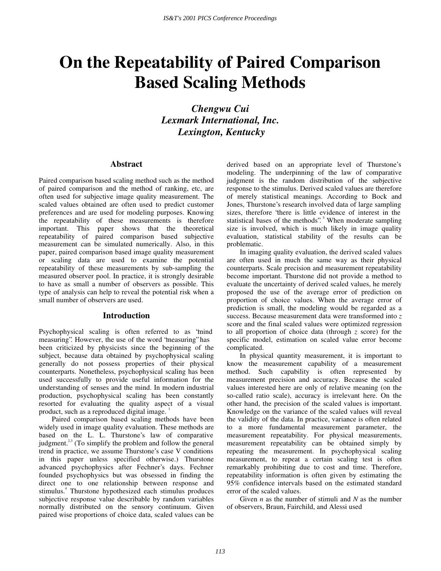# **On the Repeatability of Paired Comparison Based Scaling Methods**

*Chengwu Cui Lexmark International, Inc. Lexington, Kentucky* 

## **Abstract**

Paired comparison based scaling method such as the method of paired comparison and the method of ranking, etc, are often used for subjective image quality measurement. The scaled values obtained are often used to predict customer preferences and are used for modeling purposes. Knowing the repeatability of these measurements is therefore important. This paper shows that the theoretical repeatability of paired comparison based subjective measurement can be simulated numerically. Also, in this paper, paired comparison based image quality measurement or scaling data are used to examine the potential repeatability of these measurements by sub-sampling the measured observer pool. In practice, it is strongly desirable to have as small a number of observers as possible. This type of analysis can help to reveal the potential risk when a small number of observers are used.

## **Introduction**

Psychophysical scaling is often referred to as "mind measuring". However, the use of the word "measuring" has been criticized by physicists since the beginning of the subject, because data obtained by psychophysical scaling generally do not possess properties of their physical counterparts. Nonetheless, psychophysical scaling has been used successfully to provide useful information for the understanding of senses and the mind. In modern industrial production, psychophysical scaling has been constantly resorted for evaluating the quality aspect of a visual product, such as a reproduced digital image. <sup>1</sup>

Paired comparison based scaling methods have been widely used in image quality evaluation. These methods are based on the L. L. Thurstone's law of comparative judgment. $^{2,3}$  (To simplify the problem and follow the general trend in practice, we assume Thurstone's case V conditions in this paper unless specified otherwise.) Thurstone advanced psychophysics after Fechner's days. Fechner founded psychophysics but was obsessed in finding the direct one to one relationship between response and stimulus.<sup>4</sup> Thurstone hypothesized each stimulus produces subjective response value describable by random variables normally distributed on the sensory continuum. Given paired wise proportions of choice data, scaled values can be

derived based on an appropriate level of Thurstone's modeling. The underpinning of the law of comparative judgment is the random distribution of the subjective response to the stimulus. Derived scaled values are therefore of merely statistical meanings. According to Bock and Jones, Thurstone's research involved data of large sampling sizes, therefore "there is little evidence of interest in the statistical bases of the methods".<sup>5</sup> When moderate sampling size is involved, which is much likely in image quality evaluation, statistical stability of the results can be problematic.

In imaging quality evaluation, the derived scaled values are often used in much the same way as their physical counterparts. Scale precision and measurement repeatability become important. Thurstone did not provide a method to evaluate the uncertainty of derived scaled values, he merely proposed the use of the average error of prediction on proportion of choice values. When the average error of prediction is small, the modeling would be regarded as a success. Because measurement data were transformed into *z* score and the final scaled values were optimized regression to all proportion of choice data (through *z* score) for the specific model, estimation on scaled value error become complicated.

In physical quantity measurement, it is important to know the measurement capability of a measurement method. Such capability is often represented by measurement precision and accuracy. Because the scaled values interested here are only of relative meaning (on the so-called ratio scale), accuracy is irrelevant here. On the other hand, the precision of the scaled values is important. Knowledge on the variance of the scaled values will reveal the validity of the data. In practice, variance is often related to a more fundamental measurement parameter, the measurement repeatability. For physical measurements, measurement repeatability can be obtained simply by repeating the measurement. In psychophysical scaling measurement, to repeat a certain scaling test is often remarkably prohibiting due to cost and time. Therefore, repeatability information is often given by estimating the 95% confidence intervals based on the estimated standard error of the scaled values.

Given *n* as the number of stimuli and *N* as the number of observers, Braun, Fairchild, and Alessi used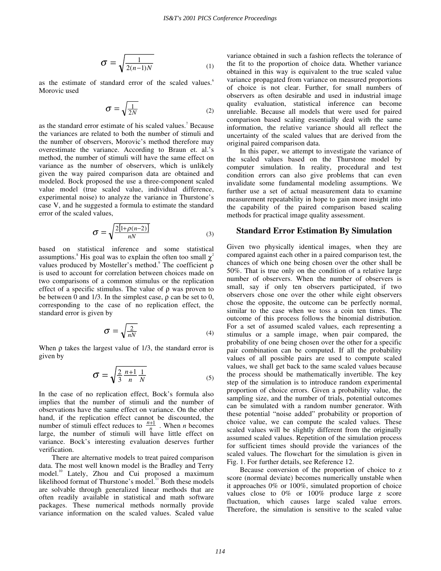$$
\sigma = \sqrt{\frac{1}{2(n-1)N}}
$$
 (1)

as the estimate of standard error of the scaled values.<sup>6</sup> Morovic used

$$
\sigma = \sqrt{\frac{1}{2N}}\tag{2}
$$

as the standard error estimate of his scaled values.<sup>7</sup> Because the variances are related to both the number of stimuli and the number of observers, Morovic's method therefore may overestimate the variance. According to Braun et. al.'s method, the number of stimuli will have the same effect on variance as the number of observers, which is unlikely given the way paired comparison data are obtained and modeled. Bock proposed the use a three-component scaled value model (true scaled value, individual difference, experimental noise) to analyze the variance in Thurstone's case V, and he suggested a formula to estimate the standard error of the scaled values,

$$
\sigma = \sqrt{\frac{2[1+\rho(n-2)]}{nN}}
$$
 (3)

based on statistical inference and some statistical assumptions.<sup>8</sup> His goal was to explain the often too small  $\chi^2$ values produced by Mosteller's method.<sup>9</sup> The coefficient ρ is used to account for correlation between choices made on two comparisons of a common stimulus or the replication effect of a specific stimulus. The value of  $\rho$  was proven to be between 0 and 1/3. In the simplest case, ρ can be set to 0, corresponding to the case of no replication effect, the standard error is given by

$$
\sigma = \sqrt{\frac{2}{nN}}
$$
 (4)

When  $\rho$  takes the largest value of  $1/3$ , the standard error is given by

$$
\sigma = \sqrt{\frac{2}{3} \frac{n+1}{n} \frac{1}{N}}
$$
 (5)

In the case of no replication effect, Bock's formula also implies that the number of stimuli and the number of observations have the same effect on variance. On the other hand, if the replication effect cannot be discounted, the number of stimuli effect reduces to  $\frac{n+1}{n}$ . When *n* becomes large, the number of stimuli will have little effect on variance. Bock's interesting evaluation deserves further verification.

There are alternative models to treat paired comparison data. The most well known model is the Bradley and Terry model.<sup>10</sup> Lately, Zhou and Cui proposed a maximum likelihood format of Thurstone's model.<sup>11</sup> Both these models are solvable through generalized linear methods that are often readily available in statistical and math software packages. These numerical methods normally provide variance information on the scaled values. Scaled value

variance obtained in such a fashion reflects the tolerance of the fit to the proportion of choice data. Whether variance obtained in this way is equivalent to the true scaled value variance propagated from variance on measured proportions of choice is not clear. Further, for small numbers of observers as often desirable and used in industrial image quality evaluation, statistical inference can become unreliable. Because all models that were used for paired comparison based scaling essentially deal with the same information, the relative variance should all reflect the uncertainty of the scaled values that are derived from the original paired comparison data.

In this paper, we attempt to investigate the variance of the scaled values based on the Thurstone model by computer simulation. In reality, procedural and test condition errors can also give problems that can even invalidate some fundamental modeling assumptions. We further use a set of actual measurement data to examine measurement repeatability in hope to gain more insight into the capability of the paired comparison based scaling methods for practical image quality assessment.

## **Standard Error Estimation By Simulation**

Given two physically identical images, when they are compared against each other in a paired comparison test, the chances of which one being chosen over the other shall be 50%. That is true only on the condition of a relative large number of observers. When the number of observers is small, say if only ten observers participated, if two observers chose one over the other while eight observers chose the opposite, the outcome can be perfectly normal, similar to the case when we toss a coin ten times. The outcome of this process follows the binomial distribution. For a set of assumed scaled values, each representing a stimulus or a sample image, when pair compared, the probability of one being chosen over the other for a specific pair combination can be computed. If all the probability values of all possible pairs are used to compute scaled values, we shall get back to the same scaled values because the process should be mathematically invertible. The key step of the simulation is to introduce random experimental proportion of choice errors. Given a probability value, the sampling size, and the number of trials, potential outcomes can be simulated with a random number generator. With these potential "noise added" probability or proportion of choice value, we can compute the scaled values. These scaled values will be slightly different from the originally assumed scaled values. Repetition of the simulation process for sufficient times should provide the variances of the scaled values. The flowchart for the simulation is given in Fig. 1. For further details, see Reference 12.

Because conversion of the proportion of choice to z score (normal deviate) becomes numerically unstable when it approaches 0% or 100%, simulated proportion of choice values close to 0% or 100% produce large z score fluctuation, which causes large scaled value errors. Therefore, the simulation is sensitive to the scaled value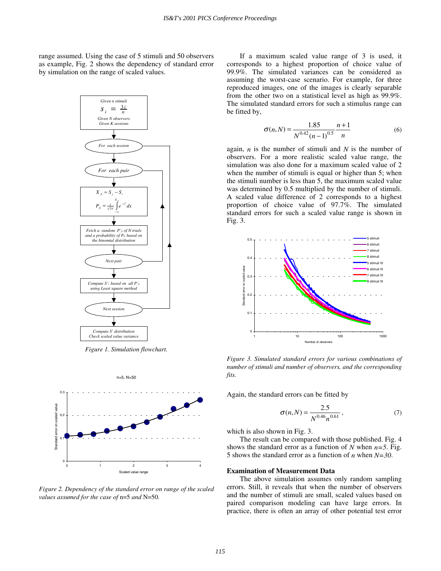range assumed. Using the case of 5 stimuli and 50 observers as example, Fig. 2 shows the dependency of standard error by simulation on the range of scaled values.



*Figure 1. Simulation flowchart.* 



*Figure 2. Dependency of the standard error on range of the scaled values assumed for the case of* n=5 *and* N=50*.* 

If a maximum scaled value range of 3 is used, it corresponds to a highest proportion of choice value of 99.9%. The simulated variances can be considered as assuming the worst-case scenario. For example, for three reproduced images, one of the images is clearly separable from the other two on a statistical level as high as 99.9%. The simulated standard errors for such a stimulus range can be fitted by,

$$
\sigma(n,N) = \frac{1.85}{N^{0.42}(n-1)^{0.5}} \frac{n+1}{n}
$$
 (6)

again, *n* is the number of stimuli and *N* is the number of observers. For a more realistic scaled value range, the simulation was also done for a maximum scaled value of 2 when the number of stimuli is equal or higher than 5; when the stimuli number is less than 5, the maximum scaled value was determined by 0.5 multiplied by the number of stimuli. A scaled value difference of 2 corresponds to a highest proportion of choice value of 97.7%. The simulated standard errors for such a scaled value range is shown in Fig. 3.



*Figure 3. Simulated standard errors for various combinations of number of stimuli and number of observers, and the corresponding fits.* 

Again, the standard errors can be fitted by

$$
\sigma(n,N) = \frac{2.5}{N^{0.46}n^{0.61}},\tag{7}
$$

which is also shown in Fig. 3.

The result can be compared with those published. Fig. 4 shows the standard error as a function of *N* when  $n=5$ . Fig. 5 shows the standard error as a function of *n* when *N=30*.

#### **Examination of Measurement Data**

The above simulation assumes only random sampling errors. Still, it reveals that when the number of observers and the number of stimuli are small, scaled values based on paired comparison modeling can have large errors. In practice, there is often an array of other potential test error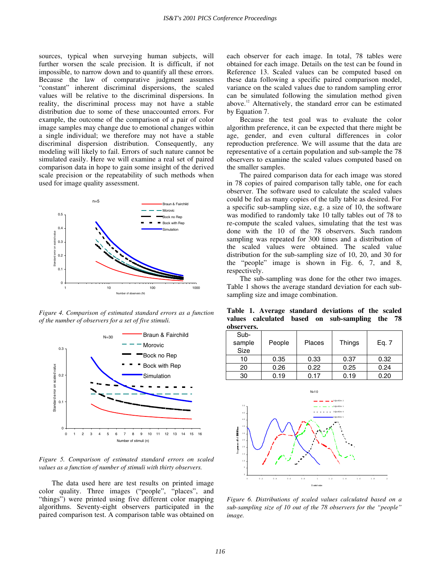sources, typical when surveying human subjects, will further worsen the scale precision. It is difficult, if not impossible, to narrow down and to quantify all these errors. Because the law of comparative judgment assumes "constant" inherent discriminal dispersions, the scaled values will be relative to the discriminal dispersions. In reality, the discriminal process may not have a stable distribution due to some of these unaccounted errors. For example, the outcome of the comparison of a pair of color image samples may change due to emotional changes within a single individual; we therefore may not have a stable discriminal dispersion distribution. Consequently, any modeling will likely to fail. Errors of such nature cannot be simulated easily. Here we will examine a real set of paired comparison data in hope to gain some insight of the derived scale precision or the repeatability of such methods when used for image quality assessment.



*Figure 4. Comparison of estimated standard errors as a function of the number of observers for a set of five stimuli.* 



*Figure 5. Comparison of estimated standard errors on scaled values as a function of number of stimuli with thirty observers.* 

The data used here are test results on printed image color quality. Three images ("people", "places", and "things") were printed using five different color mapping algorithms. Seventy-eight observers participated in the paired comparison test. A comparison table was obtained on each observer for each image. In total, 78 tables were obtained for each image. Details on the test can be found in Reference 13. Scaled values can be computed based on these data following a specific paired comparison model, variance on the scaled values due to random sampling error can be simulated following the simulation method given above.<sup>12</sup> Alternatively, the standard error can be estimated by Equation 7.

Because the test goal was to evaluate the color algorithm preference, it can be expected that there might be age, gender, and even cultural differences in color reproduction preference. We will assume that the data are representative of a certain population and sub-sample the 78 observers to examine the scaled values computed based on the smaller samples.

The paired comparison data for each image was stored in 78 copies of paired comparison tally table, one for each observer. The software used to calculate the scaled values could be fed as many copies of the tally table as desired. For a specific sub-sampling size, e.g. a size of 10, the software was modified to randomly take 10 tally tables out of 78 to re-compute the scaled values, simulating that the test was done with the 10 of the 78 observers. Such random sampling was repeated for 300 times and a distribution of the scaled values were obtained. The scaled value distribution for the sub-sampling size of 10, 20, and 30 for the "people" image is shown in Fig. 6, 7, and 8, respectively.

The sub-sampling was done for the other two images. Table 1 shows the average standard deviation for each subsampling size and image combination.

**Table 1. Average standard deviations of the scaled values calculated based on sub-sampling the 78 observers.** 

| Sub-<br>sample<br><b>Size</b> | People | <b>Places</b> | Things | Eq. 7 |
|-------------------------------|--------|---------------|--------|-------|
| 10                            | 0.35   | 0.33          | 0.37   | 0.32  |
| 20                            | 0.26   | 0.22          | 0.25   | 0.24  |
| 30                            | 0.19   | 0.17          | 0.19   | 0.20  |



*Figure 6. Distributions of scaled values calculated based on a sub-sampling size of 10 out of the 78 observers for the "people" image.*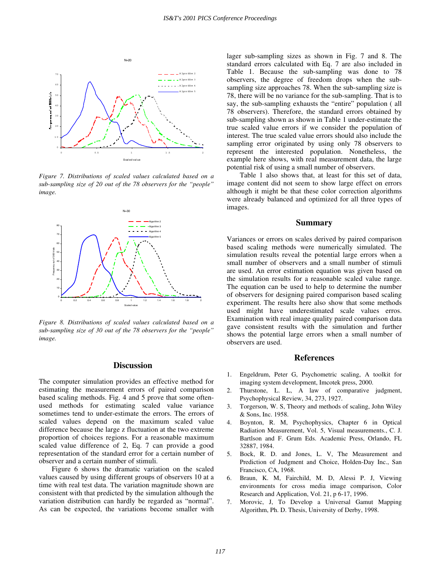

*Figure 7. Distributions of scaled values calculated based on a sub-sampling size of 20 out of the 78 observers for the "people" image.* 



*Figure 8. Distributions of scaled values calculated based on a sub-sampling size of 30 out of the 78 observers for the "people" image.* 

## **Discussion**

The computer simulation provides an effective method for estimating the measurement errors of paired comparison based scaling methods. Fig. 4 and 5 prove that some oftenused methods for estimating scaled value variance sometimes tend to under-estimate the errors. The errors of scaled values depend on the maximum scaled value difference because the large z fluctuation at the two extreme proportion of choices regions. For a reasonable maximum scaled value difference of 2, Eq. 7 can provide a good representation of the standard error for a certain number of observer and a certain number of stimuli.

Figure 6 shows the dramatic variation on the scaled values caused by using different groups of observers 10 at a time with real test data. The variation magnitude shown are consistent with that predicted by the simulation although the variation distribution can hardly be regarded as "normal". As can be expected, the variations become smaller with lager sub-sampling sizes as shown in Fig. 7 and 8. The standard errors calculated with Eq. 7 are also included in Table 1. Because the sub-sampling was done to 78 observers, the degree of freedom drops when the subsampling size approaches 78. When the sub-sampling size is 78, there will be no variance for the sub-sampling. That is to say, the sub-sampling exhausts the "entire" population ( all 78 observers). Therefore, the standard errors obtained by sub-sampling shown as shown in Table 1 under-estimate the true scaled value errors if we consider the population of interest. The true scaled value errors should also include the sampling error originated by using only 78 observers to represent the interested population. Nonetheless, the example here shows, with real measurement data, the large potential risk of using a small number of observers.

Table 1 also shows that, at least for this set of data, image content did not seem to show large effect on errors although it might be that these color correction algorithms were already balanced and optimized for all three types of images.

## **Summary**

Variances or errors on scales derived by paired comparison based scaling methods were numerically simulated. The simulation results reveal the potential large errors when a small number of observers and a small number of stimuli are used. An error estimation equation was given based on the simulation results for a reasonable scaled value range. The equation can be used to help to determine the number of observers for designing paired comparison based scaling experiment. The results here also show that some methods used might have underestimated scale values erros. Examination with real image quality paired comparison data gave consistent results with the simulation and further shows the potential large errors when a small number of observers are used.

### **References**

- 1. Engeldrum, Peter G, Psychometric scaling, A toolkit for imaging system development, Imcotek press, 2000.
- 2. Thurstone, L. L, A law of comparative judgment, Psychophysical Review, 34, 273, 1927.
- 3. Torgerson, W. S, Theory and methods of scaling, John Wiley & Sons, Inc. 1958.
- 4. Boynton, R. M, Psychophysics, Chapter 6 in Optical Radiation Measurement, Vol. 5, Visual measurements., C. J. Bartlson and F. Grum Eds. Academic Press, Orlando, FL 32887, 1984.
- 5. Bock, R. D. and Jones, L. V, The Measurement and Prediction of Judgment and Choice, Holden-Day Inc., San Francisco, CA, 1968.
- 6. Braun, K. M, Fairchild, M. D, Alessi P. J, Viewing environments for cross media image comparison, Color Research and Application, Vol. 21, p 6-17, 1996.
- 7. Morovic, J, To Develop a Universal Gamut Mapping Algorithm, Ph. D. Thesis, University of Derby, 1998.